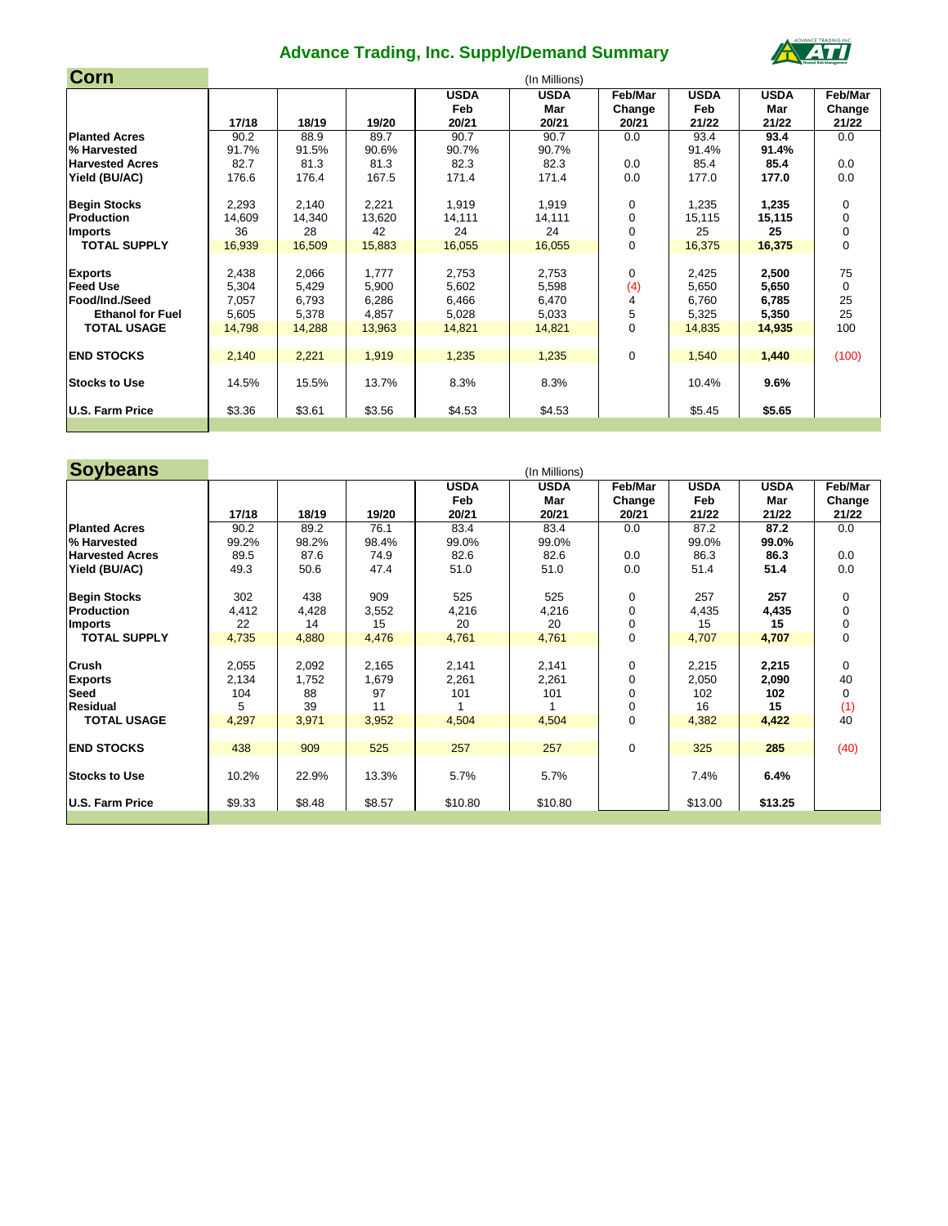| Corn                    |        |        |        |             | (In Millions) |             |             |             |                |
|-------------------------|--------|--------|--------|-------------|---------------|-------------|-------------|-------------|----------------|
|                         |        |        |        | <b>USDA</b> | <b>USDA</b>   | Feb/Mar     | <b>USDA</b> | <b>USDA</b> | Feb/Mar        |
|                         |        |        |        | Feb         | Mar           | Change      | Feb         | Mar         | Change         |
|                         | 17/18  | 18/19  | 19/20  | 20/21       | 20/21         | 20/21       | 21/22       | 21/22       | 21/22          |
| <b>Planted Acres</b>    | 90.2   | 88.9   | 89.7   | 90.7        | 90.7          | 0.0         | 93.4        | 93.4        | 0.0            |
| % Harvested             | 91.7%  | 91.5%  | 90.6%  | 90.7%       | 90.7%         |             | 91.4%       | 91.4%       |                |
| <b>Harvested Acres</b>  | 82.7   | 81.3   | 81.3   | 82.3        | 82.3          | 0.0         | 85.4        | 85.4        | 0.0            |
| Yield (BU/AC)           | 176.6  | 176.4  | 167.5  | 171.4       | 171.4         | 0.0         | 177.0       | 177.0       | 0.0            |
| <b>Begin Stocks</b>     | 2,293  | 2,140  | 2,221  | 1,919       | 1,919         | 0           | 1,235       | 1,235       | 0              |
| <b>Production</b>       | 14,609 | 14,340 | 13,620 | 14,111      | 14,111        | $\mathbf 0$ | 15,115      | 15,115      | 0              |
| Imports                 | 36     | 28     | 42     | 24          | 24            | 0           | 25          | 25          | 0              |
| <b>TOTAL SUPPLY</b>     | 16,939 | 16,509 | 15,883 | 16,055      | 16,055        | $\mathbf 0$ | 16,375      | 16,375      | $\overline{0}$ |
| <b>Exports</b>          | 2,438  | 2,066  | 1,777  | 2,753       | 2,753         | 0           | 2,425       | 2,500       | 75             |
| <b>Feed Use</b>         | 5,304  | 5,429  | 5,900  | 5,602       | 5,598         | (4)         | 5,650       | 5,650       | $\mathbf 0$    |
| Food/Ind./Seed          | 7,057  | 6,793  | 6,286  | 6,466       | 6,470         |             | 6,760       | 6,785       | 25             |
| <b>Ethanol for Fuel</b> | 5,605  | 5,378  | 4,857  | 5,028       | 5,033         | 5           | 5,325       | 5,350       | 25             |
| <b>TOTAL USAGE</b>      | 14,798 | 14,288 | 13,963 | 14,821      | 14,821        | 0           | 14,835      | 14,935      | 100            |
| <b>END STOCKS</b>       | 2,140  | 2,221  | 1,919  | 1,235       | 1,235         | $\mathbf 0$ | 1,540       | 1,440       | (100)          |
|                         |        |        |        |             |               |             |             |             |                |
| <b>Stocks to Use</b>    | 14.5%  | 15.5%  | 13.7%  | 8.3%        | 8.3%          |             | 10.4%       | 9.6%        |                |
| U.S. Farm Price         | \$3.36 | \$3.61 | \$3.56 | \$4.53      | \$4.53        |             | \$5.45      | \$5.65      |                |
|                         |        |        |        |             |               |             |             |             |                |

| <b>Soybeans</b>        |        |        |        |                    | (In Millions)      |                   |                    |                    |                   |
|------------------------|--------|--------|--------|--------------------|--------------------|-------------------|--------------------|--------------------|-------------------|
|                        |        |        |        | <b>USDA</b><br>Feb | <b>USDA</b><br>Mar | Feb/Mar<br>Change | <b>USDA</b><br>Feb | <b>USDA</b><br>Mar | Feb/Mar<br>Change |
|                        | 17/18  | 18/19  | 19/20  | 20/21              | 20/21              | 20/21             | 21/22              | 21/22              | 21/22             |
| <b>Planted Acres</b>   | 90.2   | 89.2   | 76.1   | 83.4               | 83.4               | 0.0               | 87.2               | 87.2               | 0.0               |
| % Harvested            | 99.2%  | 98.2%  | 98.4%  | 99.0%              | 99.0%              |                   | 99.0%              | 99.0%              |                   |
| <b>Harvested Acres</b> | 89.5   | 87.6   | 74.9   | 82.6               | 82.6               | 0.0               | 86.3               | 86.3               | 0.0               |
| Yield (BU/AC)          | 49.3   | 50.6   | 47.4   | 51.0               | 51.0               | 0.0               | 51.4               | 51.4               | 0.0               |
| <b>Begin Stocks</b>    | 302    | 438    | 909    | 525                | 525                | 0                 | 257                | 257                | $\mathbf 0$       |
| Production             | 4,412  | 4,428  | 3,552  | 4,216              | 4,216              | 0                 | 4,435              | 4,435              | $\overline{0}$    |
| Imports                | 22     | 14     | 15     | 20                 | 20                 | $\mathbf 0$       | 15                 | 15                 | $\pmb{0}$         |
| <b>TOTAL SUPPLY</b>    | 4,735  | 4,880  | 4,476  | 4,761              | 4,761              | $\overline{0}$    | 4,707              | 4,707              | $\mathbf 0$       |
| <b>Crush</b>           | 2,055  | 2,092  | 2,165  | 2,141              | 2,141              | $\mathbf 0$       | 2,215              | 2,215              | $\overline{0}$    |
| <b>Exports</b>         | 2,134  | 1,752  | 1,679  | 2,261              | 2,261              | 0                 | 2,050              | 2,090              | 40                |
| <b>Seed</b>            | 104    | 88     | 97     | 101                | 101                | 0                 | 102                | 102                | $\mathbf 0$       |
| <b>Residual</b>        | 5      | 39     | 11     |                    |                    | $\mathbf 0$       | 16                 | 15                 | (1)               |
| <b>TOTAL USAGE</b>     | 4,297  | 3,971  | 3,952  | 4,504              | 4,504              | $\mathbf 0$       | 4,382              | 4,422              | 40                |
| <b>END STOCKS</b>      | 438    | 909    | 525    | 257                | 257                | $\mathbf 0$       | 325                | 285                | (40)              |
| <b>Stocks to Use</b>   | 10.2%  | 22.9%  | 13.3%  | 5.7%               | 5.7%               |                   | 7.4%               | 6.4%               |                   |
| U.S. Farm Price        | \$9.33 | \$8.48 | \$8.57 | \$10.80            | \$10.80            |                   | \$13.00            | \$13.25            |                   |
|                        |        |        |        |                    |                    |                   |                    |                    |                   |

## **Advance Trading, Inc. Supply/Demand Summary**

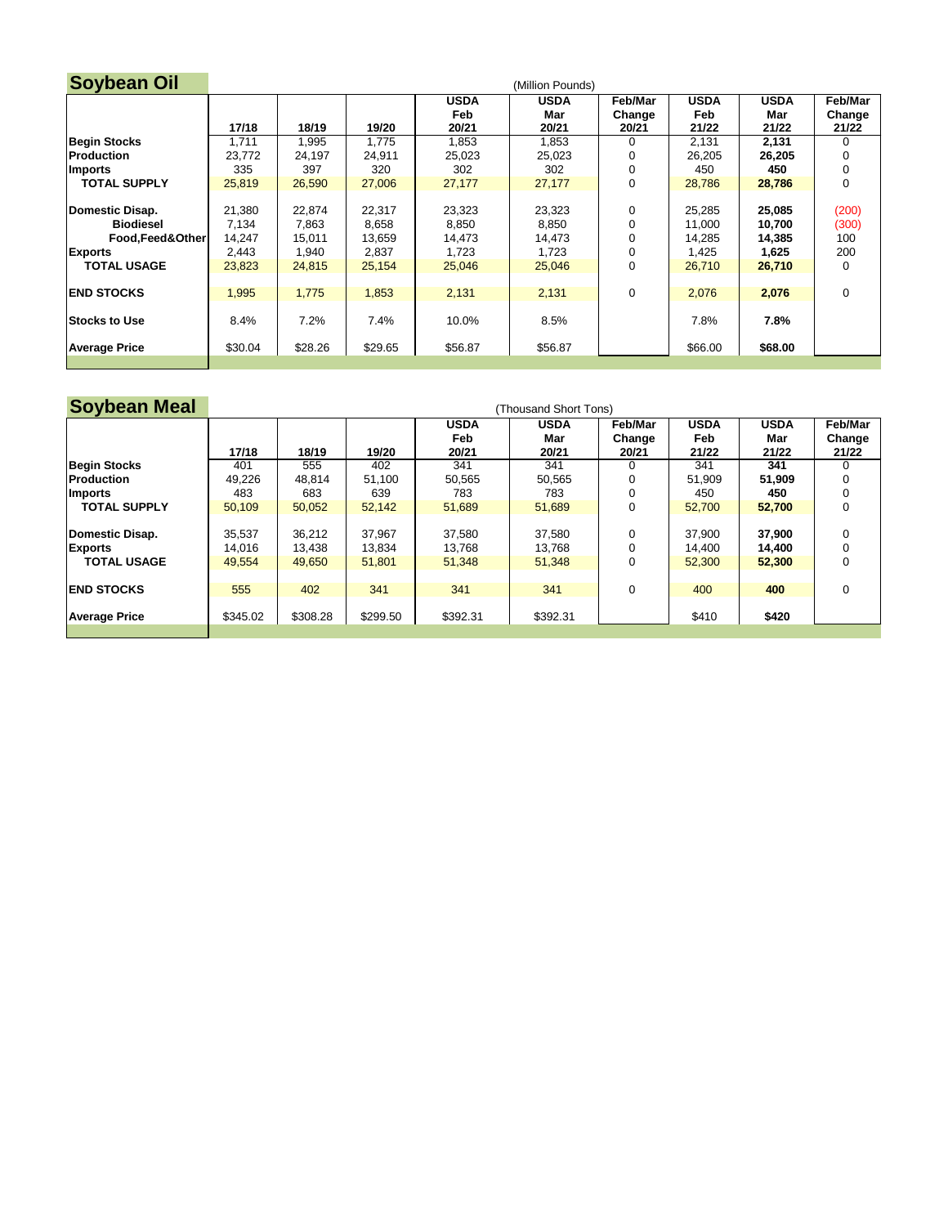| <b>Soybean Oil</b>   |         |         |         |             | (Million Pounds) |         |             |             |             |
|----------------------|---------|---------|---------|-------------|------------------|---------|-------------|-------------|-------------|
|                      |         |         |         | <b>USDA</b> | <b>USDA</b>      | Feb/Mar | <b>USDA</b> | <b>USDA</b> | Feb/Mar     |
|                      |         |         |         | Feb         | Mar              | Change  | Feb         | Mar         | Change      |
|                      | 17/18   | 18/19   | 19/20   | 20/21       | 20/21            | 20/21   | 21/22       | 21/22       | 21/22       |
| <b>Begin Stocks</b>  | 1,711   | 1,995   | 1,775   | 1,853       | 1,853            |         | 2,131       | 2,131       | 0           |
| <b>Production</b>    | 23,772  | 24,197  | 24,911  | 25,023      | 25,023           |         | 26,205      | 26,205      |             |
| Imports              | 335     | 397     | 320     | 302         | 302              |         | 450         | 450         | 0           |
| <b>TOTAL SUPPLY</b>  | 25,819  | 26,590  | 27,006  | 27,177      | 27,177           | 0       | 28,786      | 28,786      | 0           |
|                      |         |         |         |             |                  |         |             |             |             |
| Domestic Disap.      | 21,380  | 22,874  | 22,317  | 23,323      | 23,323           | 0       | 25,285      | 25,085      | (200)       |
| <b>Biodiesel</b>     | 7,134   | 7,863   | 8,658   | 8,850       | 8,850            |         | 11,000      | 10,700      | (300)       |
| Food, Feed& Other    | 14,247  | 15,011  | 13,659  | 14,473      | 14,473           |         | 14,285      | 14,385      | 100         |
| <b>Exports</b>       | 2,443   | 1,940   | 2,837   | 1,723       | 1,723            |         | 1,425       | 1,625       | 200         |
| <b>TOTAL USAGE</b>   | 23,823  | 24,815  | 25,154  | 25,046      | 25,046           |         | 26,710      | 26,710      | 0           |
|                      |         |         |         |             |                  |         |             |             |             |
| <b>END STOCKS</b>    | 1,995   | 1,775   | 1,853   | 2,131       | 2,131            | 0       | 2,076       | 2,076       | $\mathbf 0$ |
|                      |         |         |         |             |                  |         |             |             |             |
| <b>Stocks to Use</b> | 8.4%    | 7.2%    | 7.4%    | 10.0%       | 8.5%             |         | 7.8%        | 7.8%        |             |
|                      |         |         |         |             |                  |         |             |             |             |
| <b>Average Price</b> | \$30.04 | \$28.26 | \$29.65 | \$56.87     | \$56.87          |         | \$66.00     | \$68.00     |             |
|                      |         |         |         |             |                  |         |             |             |             |

| <b>Soybean Meal</b>  |          |          |          |                    | (Thousand Short Tons) |                   |                    |                    |                   |
|----------------------|----------|----------|----------|--------------------|-----------------------|-------------------|--------------------|--------------------|-------------------|
|                      |          |          |          | <b>USDA</b><br>Feb | <b>USDA</b><br>Mar    | Feb/Mar<br>Change | <b>USDA</b><br>Feb | <b>USDA</b><br>Mar | Feb/Mar<br>Change |
|                      | 17/18    | 18/19    | 19/20    | 20/21              | 20/21                 | 20/21             | 21/22              | 21/22              | 21/22             |
| <b>Begin Stocks</b>  | 401      | 555      | 402      | 341                | 341                   |                   | 341                | 341                | 0                 |
| <b>Production</b>    | 49,226   | 48,814   | 51,100   | 50,565             | 50,565                |                   | 51,909             | 51,909             |                   |
| <b>Imports</b>       | 483      | 683      | 639      | 783                | 783                   |                   | 450                | 450                |                   |
| <b>TOTAL SUPPLY</b>  | 50,109   | 50,052   | 52,142   | 51,689             | 51,689                | $\mathbf 0$       | 52,700             | 52,700             | 0                 |
|                      |          |          |          |                    |                       |                   |                    |                    |                   |
| Domestic Disap.      | 35,537   | 36,212   | 37,967   | 37,580             | 37,580                | 0                 | 37,900             | 37,900             | 0                 |
| <b>Exports</b>       | 14,016   | 13,438   | 13,834   | 13,768             | 13,768                |                   | 14,400             | 14,400             |                   |
| <b>TOTAL USAGE</b>   | 49,554   | 49,650   | 51,801   | 51,348             | 51,348                | 0                 | 52,300             | 52,300             | 0                 |
|                      |          |          |          |                    |                       |                   |                    |                    |                   |
| <b>END STOCKS</b>    | 555      | 402      | 341      | 341                | 341                   | 0                 | 400                | 400                | 0                 |
|                      |          |          |          |                    |                       |                   |                    |                    |                   |
| <b>Average Price</b> | \$345.02 | \$308.28 | \$299.50 | \$392.31           | \$392.31              |                   | \$410              | \$420              |                   |
|                      |          |          |          |                    |                       |                   |                    |                    |                   |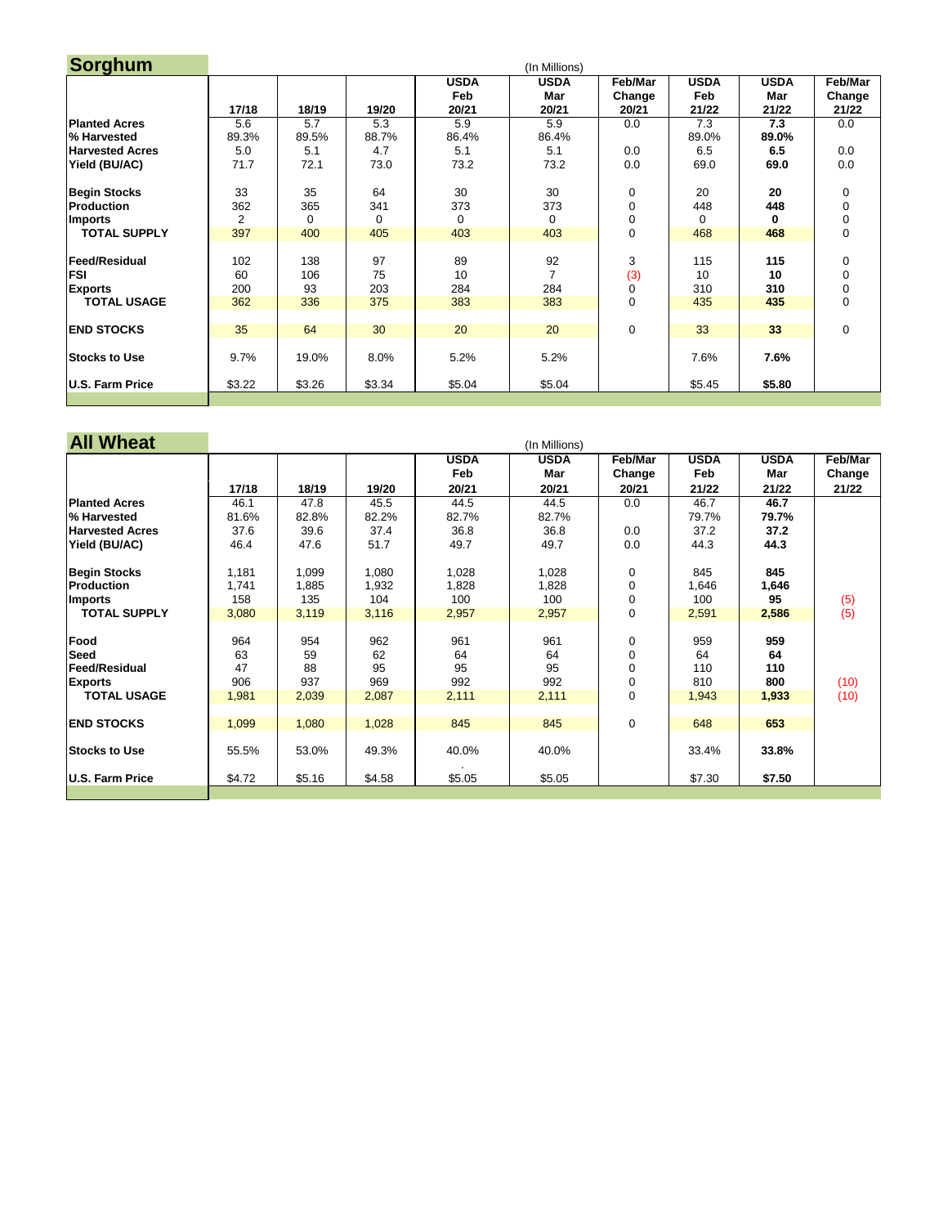| Sorghum                                              |                  |                  |                 |                    | (In Millions)               |                   |                    |                    |                                    |
|------------------------------------------------------|------------------|------------------|-----------------|--------------------|-----------------------------|-------------------|--------------------|--------------------|------------------------------------|
|                                                      |                  |                  |                 | <b>USDA</b><br>Feb | <b>USDA</b><br>Mar          | Feb/Mar<br>Change | <b>USDA</b><br>Feb | <b>USDA</b><br>Mar | <b>Feb/Mar</b><br>Change           |
|                                                      | 17/18            | 18/19            | 19/20           | 20/21              | 20/21                       | 20/21             | 21/22              | 21/22              | 21/22                              |
| <b>Planted Acres</b>                                 | 5.6              | 5.7              | 5.3             | 5.9                | 5.9                         | 0.0               | 7.3                | 7.3                | 0.0                                |
| % Harvested                                          | 89.3%            | 89.5%            | 88.7%           | 86.4%              | 86.4%                       |                   | 89.0%              | 89.0%              |                                    |
| <b>Harvested Acres</b>                               | 5.0              | 5.1              | 4.7             | 5.1                | 5.1                         | 0.0               | 6.5                | 6.5                | 0.0                                |
| Yield (BU/AC)                                        | 71.7             | 72.1             | 73.0            | 73.2               | 73.2                        | 0.0               | 69.0               | 69.0               | 0.0                                |
| <b>Begin Stocks</b>                                  | 33               | 35               | 64              | 30                 | 30                          | 0                 | 20                 | 20                 | $\overline{0}$                     |
| Production                                           | 362              | 365              | 341             | 373                | 373                         | $\pmb{0}$         | 448                | 448                | 0                                  |
| <b>Imports</b>                                       | $\overline{2}$   | 0                | $\Omega$        | $\overline{0}$     | 0                           | 0                 | 0                  | 0                  | 0                                  |
| <b>TOTAL SUPPLY</b>                                  | 397              | 400              | 405             | 403                | 403                         | $\pmb{0}$         | 468                | 468                | 0                                  |
| <b>Feed/Residual</b><br><b>FSI</b><br><b>Exports</b> | 102<br>60<br>200 | 138<br>106<br>93 | 97<br>75<br>203 | 89<br>10<br>284    | 92<br>$\overline{7}$<br>284 | 3<br>(3)<br>0     | 115<br>10<br>310   | 115<br>10<br>310   | $\mathbf 0$<br>$\overline{0}$<br>0 |
| <b>TOTAL USAGE</b>                                   | 362              | 336              | 375             | 383                | 383                         | 0                 | 435                | 435                | $\overline{0}$                     |
| <b>END STOCKS</b>                                    | 35               | 64               | 30              | 20                 | 20                          | $\mathbf 0$       | 33                 | 33                 | $\pmb{0}$                          |
| <b>Stocks to Use</b>                                 | 9.7%             | 19.0%            | 8.0%            | 5.2%               | 5.2%                        |                   | 7.6%               | 7.6%               |                                    |
| U.S. Farm Price                                      | \$3.22           | \$3.26           | \$3.34          | \$5.04             | \$5.04                      |                   | \$5.45             | \$5.80             |                                    |
|                                                      |                  |                  |                 |                    |                             |                   |                    |                    |                                    |

| <b>All Wheat</b>       |        | (In Millions) |        |             |             |                |             |             |                |  |  |  |
|------------------------|--------|---------------|--------|-------------|-------------|----------------|-------------|-------------|----------------|--|--|--|
|                        |        |               |        | <b>USDA</b> | <b>USDA</b> | Feb/Mar        | <b>USDA</b> | <b>USDA</b> | <b>Feb/Mar</b> |  |  |  |
|                        |        |               |        | Feb         | Mar         | Change         | Feb         | Mar         | Change         |  |  |  |
|                        | 17/18  | 18/19         | 19/20  | 20/21       | 20/21       | 20/21          | 21/22       | 21/22       | 21/22          |  |  |  |
| <b>Planted Acres</b>   | 46.1   | 47.8          | 45.5   | 44.5        | 44.5        | 0.0            | 46.7        | 46.7        |                |  |  |  |
| % Harvested            | 81.6%  | 82.8%         | 82.2%  | 82.7%       | 82.7%       |                | 79.7%       | 79.7%       |                |  |  |  |
| <b>Harvested Acres</b> | 37.6   | 39.6          | 37.4   | 36.8        | 36.8        | 0.0            | 37.2        | 37.2        |                |  |  |  |
| Yield (BU/AC)          | 46.4   | 47.6          | 51.7   | 49.7        | 49.7        | 0.0            | 44.3        | 44.3        |                |  |  |  |
| <b>Begin Stocks</b>    | 1,181  | 1,099         | 1,080  | 1,028       | 1,028       | $\mathbf 0$    | 845         | 845         |                |  |  |  |
| <b>Production</b>      | 1,741  | 1,885         | 1,932  | 1,828       | 1,828       | 0              | 1,646       | 1,646       |                |  |  |  |
| Imports                | 158    | 135           | 104    | 100         | 100         | $\overline{0}$ | 100         | 95          | (5)            |  |  |  |
| <b>TOTAL SUPPLY</b>    | 3,080  | 3,119         | 3,116  | 2,957       | 2,957       | $\overline{0}$ | 2,591       | 2,586       | (5)            |  |  |  |
| Food                   | 964    | 954           | 962    | 961         | 961         | $\mathbf 0$    | 959         | 959         |                |  |  |  |
| <b>Seed</b>            | 63     | 59            | 62     | 64          | 64          | 0              | 64          | 64          |                |  |  |  |
| <b>Feed/Residual</b>   | 47     | 88            | 95     | 95          | 95          | 0              | 110         | 110         |                |  |  |  |
| <b>Exports</b>         | 906    | 937           | 969    | 992         | 992         | $\mathbf 0$    | 810         | 800         | (10)           |  |  |  |
| <b>TOTAL USAGE</b>     | 1,981  | 2,039         | 2,087  | 2,111       | 2,111       | $\mathbf 0$    | 1,943       | 1,933       | (10)           |  |  |  |
| <b>END STOCKS</b>      | 1,099  | 1,080         | 1,028  | 845         | 845         | $\mathbf 0$    | 648         | 653         |                |  |  |  |
|                        |        |               |        |             |             |                |             |             |                |  |  |  |
| <b>Stocks to Use</b>   | 55.5%  | 53.0%         | 49.3%  | 40.0%       | 40.0%       |                | 33.4%       | 33.8%       |                |  |  |  |
| U.S. Farm Price        | \$4.72 | \$5.16        | \$4.58 | \$5.05      | \$5.05      |                | \$7.30      | \$7.50      |                |  |  |  |
|                        |        |               |        |             |             |                |             |             |                |  |  |  |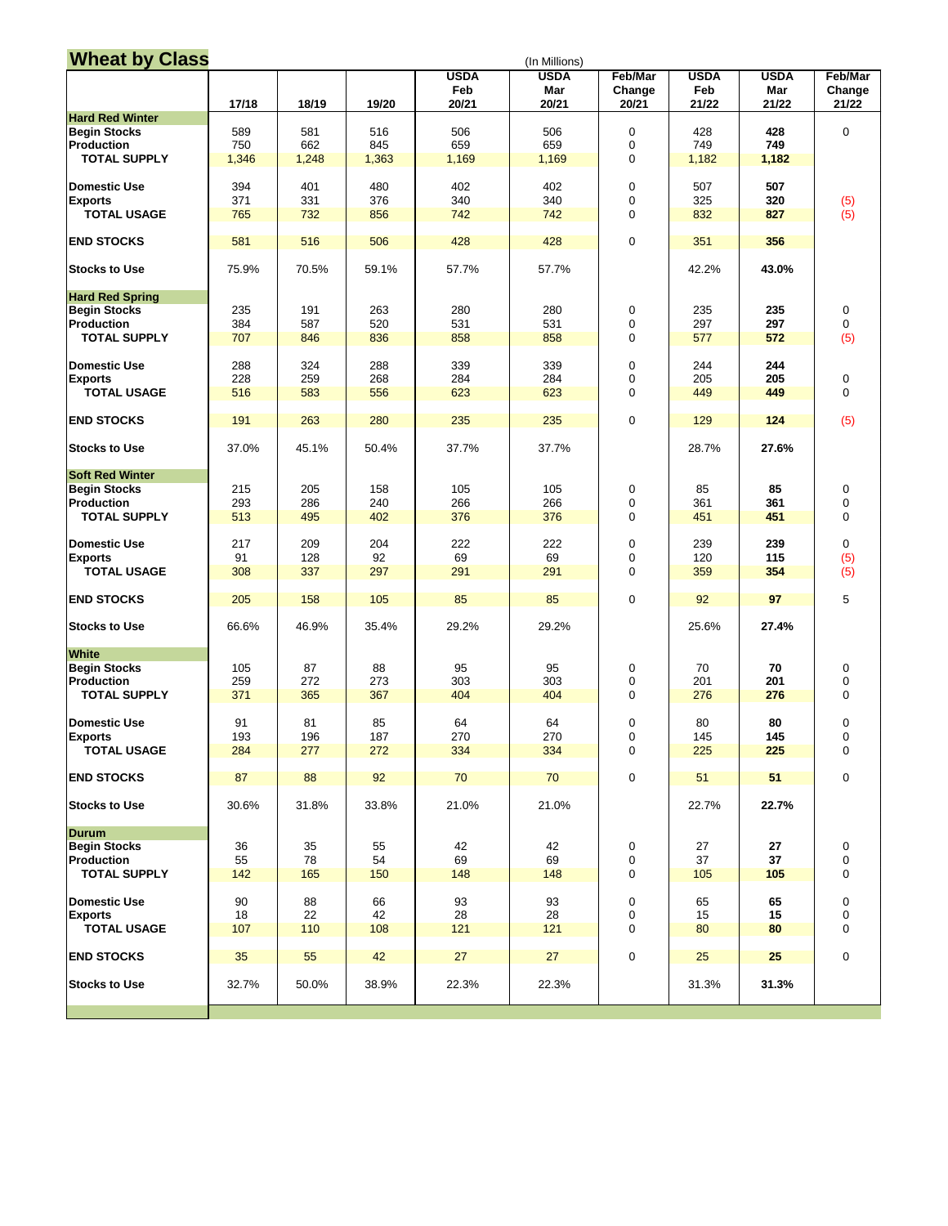| <b>Wheat by Class</b>  | (In Millions) |          |          |             |             |                          |             |             |                          |  |  |
|------------------------|---------------|----------|----------|-------------|-------------|--------------------------|-------------|-------------|--------------------------|--|--|
|                        |               |          |          | <b>USDA</b> | <b>USDA</b> | <b>Feb/Mar</b>           | <b>USDA</b> | <b>USDA</b> | <b>Feb/Mar</b>           |  |  |
|                        |               |          |          | Feb         | <b>Mar</b>  | Change                   | Feb         | <b>Mar</b>  | Change                   |  |  |
|                        | 17/18         | 18/19    | 19/20    | 20/21       | 20/21       | 20/21                    | 21/22       | 21/22       | 21/22                    |  |  |
| <b>Hard Red Winter</b> |               |          |          |             |             |                          |             |             |                          |  |  |
| <b>Begin Stocks</b>    | 589           | 581      | 516      | 506         | 506         | 0                        | 428         | 428         | $\pmb{0}$                |  |  |
| <b>Production</b>      | 750           | 662      | 845      | 659         | 659         | $\pmb{0}$                | 749         | 749         |                          |  |  |
| <b>TOTAL SUPPLY</b>    | 1,346         | 1,248    | 1,363    | 1,169       | 1,169       | $\mathbf 0$              | 1,182       | 1,182       |                          |  |  |
|                        |               |          |          |             |             |                          |             |             |                          |  |  |
| Domestic Use           | 394           | 401      | 480      | 402         | 402         | 0                        | 507         | 507         |                          |  |  |
| <b>Exports</b>         | 371           | 331      | 376      | 340         | 340         | $\pmb{0}$                | 325         | 320         | (5)                      |  |  |
| <b>TOTAL USAGE</b>     | 765           | 732      | 856      | 742         | 742         | 0                        | 832         | 827         | (5)                      |  |  |
|                        |               |          |          |             |             |                          |             |             |                          |  |  |
| <b>END STOCKS</b>      | 581           | 516      | 506      | 428         | 428         | 0                        | 351         | 356         |                          |  |  |
|                        |               |          |          |             |             |                          |             |             |                          |  |  |
| <b>Stocks to Use</b>   | 75.9%         | 70.5%    | 59.1%    | 57.7%       | 57.7%       |                          | 42.2%       | 43.0%       |                          |  |  |
|                        |               |          |          |             |             |                          |             |             |                          |  |  |
| <b>Hard Red Spring</b> |               |          |          |             |             |                          |             |             |                          |  |  |
| <b>Begin Stocks</b>    | 235           | 191      | 263      | 280         | 280         | 0                        | 235         | 235         | $\pmb{0}$                |  |  |
| Production             | 384           | 587      | 520      | 531         | 531         | $\pmb{0}$                | 297         | 297         | $\mathbf 0$              |  |  |
| <b>TOTAL SUPPLY</b>    | 707           | 846      | 836      | 858         | 858         | 0                        | 577         | 572         | (5)                      |  |  |
|                        |               |          |          |             |             |                          |             |             |                          |  |  |
| Domestic Use           | 288           | 324      | 288      | 339         | 339         | 0                        | 244         | 244         |                          |  |  |
| <b>Exports</b>         | 228           | 259      | 268      | 284         | 284         | $\pmb{0}$                | 205         | 205         | $\pmb{0}$                |  |  |
| <b>TOTAL USAGE</b>     | 516           | 583      | 556      | 623         | 623         | 0                        | 449         | 449         | $\mathbf 0$              |  |  |
|                        |               |          |          |             |             |                          |             |             |                          |  |  |
| <b>END STOCKS</b>      | 191           | 263      | 280      | 235         | 235         | 0                        | 129         | 124         | (5)                      |  |  |
|                        | 37.0%         |          |          | 37.7%       |             |                          |             | 27.6%       |                          |  |  |
| <b>Stocks to Use</b>   |               | 45.1%    | 50.4%    |             | 37.7%       |                          | 28.7%       |             |                          |  |  |
| <b>Soft Red Winter</b> |               |          |          |             |             |                          |             |             |                          |  |  |
| <b>Begin Stocks</b>    | 215           | 205      | 158      | 105         | 105         | 0                        | 85          | 85          | 0                        |  |  |
| Production             | 293           | 286      | 240      | 266         | 266         | $\pmb{0}$                | 361         | 361         | $\pmb{0}$                |  |  |
| <b>TOTAL SUPPLY</b>    | 513           | 495      | 402      | 376         | 376         | 0                        | 451         | 451         | $\pmb{0}$                |  |  |
|                        |               |          |          |             |             |                          |             |             |                          |  |  |
| Domestic Use           | 217           | 209      | 204      | 222         | 222         | 0                        | 239         | 239         | $\mathbf 0$              |  |  |
| <b>Exports</b>         | 91            | 128      | 92       | 69          | 69          | $\pmb{0}$                | 120         | 115         | (5)                      |  |  |
| <b>TOTAL USAGE</b>     | 308           | 337      | 297      | 291         | 291         | 0                        | 359         | 354         | (5)                      |  |  |
|                        |               |          |          |             |             |                          |             |             |                          |  |  |
| <b>END STOCKS</b>      | 205           | 158      | 105      | 85          | 85          | 0                        | 92          | 97          | $\sqrt{5}$               |  |  |
|                        |               |          |          |             |             |                          |             |             |                          |  |  |
| <b>Stocks to Use</b>   | 66.6%         | 46.9%    | 35.4%    | 29.2%       | 29.2%       |                          | 25.6%       | 27.4%       |                          |  |  |
|                        |               |          |          |             |             |                          |             |             |                          |  |  |
| <b>White</b>           |               |          |          |             |             |                          |             |             |                          |  |  |
| <b>Begin Stocks</b>    | 105           | 87       | 88       | 95          | 95          | 0                        | 70          | 70          | 0                        |  |  |
| Production             | 259           | 272      | 273      | 303         | 303         | $\pmb{0}$                | 201         | 201         | $\pmb{0}$                |  |  |
| <b>TOTAL SUPPLY</b>    | 371           | 365      | 367      | 404         | 404         | 0                        | 276         | 276         | $\mathbf 0$              |  |  |
|                        |               |          |          |             |             |                          |             |             |                          |  |  |
| Domestic Use           | 91            | 81       | 85       | 64          | 64          | 0                        | 80          | 80          | $\pmb{0}$                |  |  |
| <b>Exports</b>         | 193           | 196      | 187      | 270         | 270         | $\pmb{0}$                | 145         | 145         | $\pmb{0}$                |  |  |
| <b>TOTAL USAGE</b>     | 284           | 277      | 272      | 334         | 334         | 0                        | 225         | 225         | $\pmb{0}$                |  |  |
|                        |               |          |          |             |             |                          |             |             |                          |  |  |
| <b>END STOCKS</b>      | 87            | 88       | 92       | 70          | 70          | 0                        | 51          | 51          | $\pmb{0}$                |  |  |
|                        |               |          |          |             |             |                          |             |             |                          |  |  |
| <b>Stocks to Use</b>   | 30.6%         | 31.8%    | 33.8%    | 21.0%       | 21.0%       |                          | 22.7%       | 22.7%       |                          |  |  |
|                        |               |          |          |             |             |                          |             |             |                          |  |  |
| <b>Durum</b>           |               |          |          |             |             |                          |             |             |                          |  |  |
| <b>Begin Stocks</b>    | 36<br>55      | 35<br>78 | 55<br>54 | 42<br>69    | 42<br>69    | 0                        | 27<br>37    | 27<br>37    | 0                        |  |  |
| Production             | 142           |          |          |             |             | $\pmb{0}$<br>$\mathbf 0$ |             | 105         | $\pmb{0}$<br>$\mathbf 0$ |  |  |
| <b>TOTAL SUPPLY</b>    |               | 165      | 150      | 148         | 148         |                          | 105         |             |                          |  |  |
| Domestic Use           | 90            | 88       | 66       | 93          | 93          |                          | 65          | 65          |                          |  |  |
| <b>Exports</b>         | 18            | 22       | 42       | 28          | 28          | 0<br>$\pmb{0}$           | 15          | 15          | $\pmb{0}$<br>$\pmb{0}$   |  |  |
| <b>TOTAL USAGE</b>     | 107           | 110      | 108      | 121         | 121         | 0                        | 80          | 80          | $\pmb{0}$                |  |  |
|                        |               |          |          |             |             |                          |             |             |                          |  |  |
|                        |               |          |          |             |             |                          |             |             |                          |  |  |

| <b>END STOCKS</b>    | 35    | 55    | 42    | 27    | 27    | 25    | 25    |  |
|----------------------|-------|-------|-------|-------|-------|-------|-------|--|
| <b>Stocks to Use</b> | 32.7% | 50.0% | 38.9% | 22.3% | 22.3% | 31.3% | 31.3% |  |
|                      |       |       |       |       |       |       |       |  |